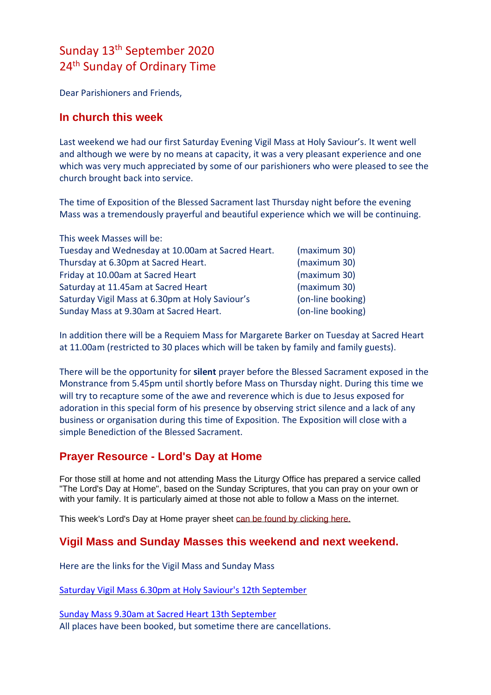# Sunday 13th September 2020 24<sup>th</sup> Sunday of Ordinary Time

Dear Parishioners and Friends,

#### **In church this week**

Last weekend we had our first Saturday Evening Vigil Mass at Holy Saviour's. It went well and although we were by no means at capacity, it was a very pleasant experience and one which was very much appreciated by some of our parishioners who were pleased to see the church brought back into service.

The time of Exposition of the Blessed Sacrament last Thursday night before the evening Mass was a tremendously prayerful and beautiful experience which we will be continuing.

| This week Masses will be:                         |                   |  |
|---------------------------------------------------|-------------------|--|
| Tuesday and Wednesday at 10.00am at Sacred Heart. | (maximum 30)      |  |
| Thursday at 6.30pm at Sacred Heart.               | (maximum 30)      |  |
| Friday at 10.00am at Sacred Heart                 | (maximum 30)      |  |
| Saturday at 11.45am at Sacred Heart               | (maximum 30)      |  |
| Saturday Vigil Mass at 6.30pm at Holy Saviour's   | (on-line booking) |  |
| Sunday Mass at 9.30am at Sacred Heart.            | (on-line booking) |  |

In addition there will be a Requiem Mass for Margarete Barker on Tuesday at Sacred Heart at 11.00am (restricted to 30 places which will be taken by family and family guests).

There will be the opportunity for **silent** prayer before the Blessed Sacrament exposed in the Monstrance from 5.45pm until shortly before Mass on Thursday night. During this time we will try to recapture some of the awe and reverence which is due to Jesus exposed for adoration in this special form of his presence by observing strict silence and a lack of any business or organisation during this time of Exposition. The Exposition will close with a simple Benediction of the Blessed Sacrament.

## **Prayer Resource - Lord's Day at Home**

For those still at home and not attending Mass the Liturgy Office has prepared a service called "The Lord's Day at Home", based on the Sunday Scriptures, that you can pray on your own or with your family. It is particularly aimed at those not able to follow a Mass on the internet.

This week's Lord's Day at Home prayer sheet [can be found by clicking here.](https://dioceseofsalford.us6.list-manage.com/track/click?u=76e219dab8653b775ba8aac4c&id=78fd702da9&e=5ce69633f0)

## **Vigil Mass and Sunday Masses this weekend and next weekend.**

Here are the links for the Vigil Mass and Sunday Mass

[Saturday Vigil Mass 6.30pm at Holy Saviour's 12th September](https://www.eventbrite.co.uk/e/630pm-saturday-evening-vigil-mass-at-holy-saviours-tickets-119668159687)

[Sunday Mass 9.30am at Sacred Heart 13th September](https://www.eventbrite.co.uk/e/930am-sunday-mass-at-sacred-heart-tickets-119669333197) All places have been booked, but sometime there are cancellations.